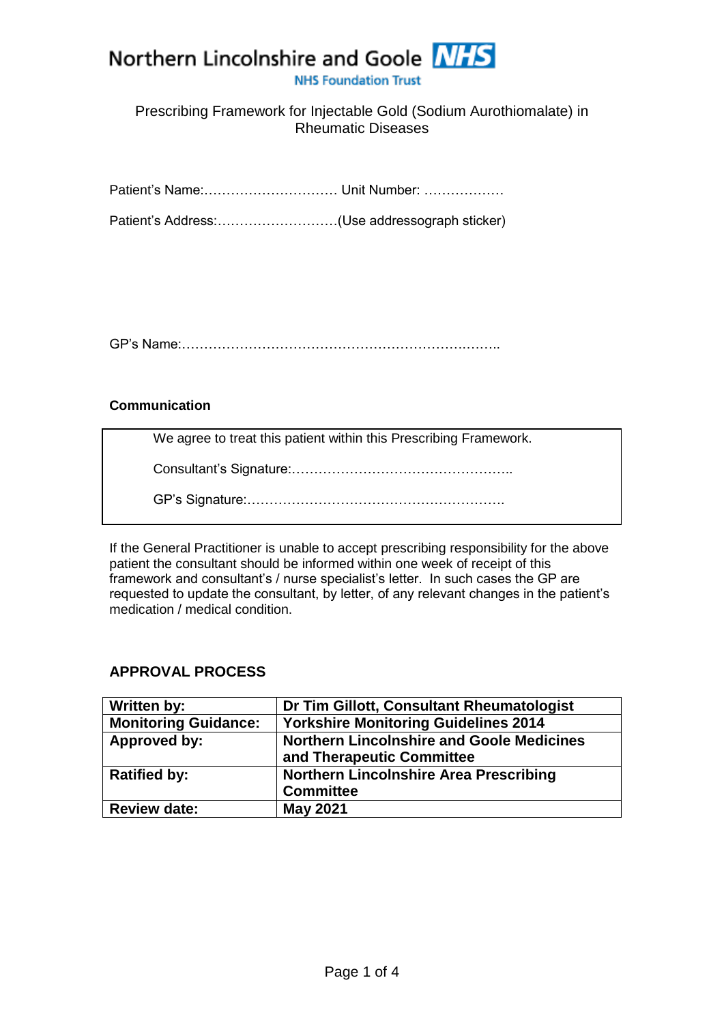# Northern Lincolnshire and Goole NHS

**NHS Foundation Trust** 

## Prescribing Framework for Injectable Gold (Sodium Aurothiomalate) in Rheumatic Diseases

Patient's Name:………………………… Unit Number: ………………

Patient's Address:………………………(Use addressograph sticker)

GP's Name:……………………………………………………….……..

#### **Communication**

We agree to treat this patient within this Prescribing Framework.

Consultant's Signature:…………………………………………..

GP's Signature:………………………………………………….

If the General Practitioner is unable to accept prescribing responsibility for the above patient the consultant should be informed within one week of receipt of this framework and consultant's / nurse specialist's letter. In such cases the GP are requested to update the consultant, by letter, of any relevant changes in the patient's medication / medical condition.

#### **APPROVAL PROCESS**

| Written by:                 | Dr Tim Gillott, Consultant Rheumatologist        |  |
|-----------------------------|--------------------------------------------------|--|
| <b>Monitoring Guidance:</b> | <b>Yorkshire Monitoring Guidelines 2014</b>      |  |
| Approved by:                | <b>Northern Lincolnshire and Goole Medicines</b> |  |
|                             | and Therapeutic Committee                        |  |
| <b>Ratified by:</b>         | <b>Northern Lincolnshire Area Prescribing</b>    |  |
|                             | <b>Committee</b>                                 |  |
| <b>Review date:</b>         | <b>May 2021</b>                                  |  |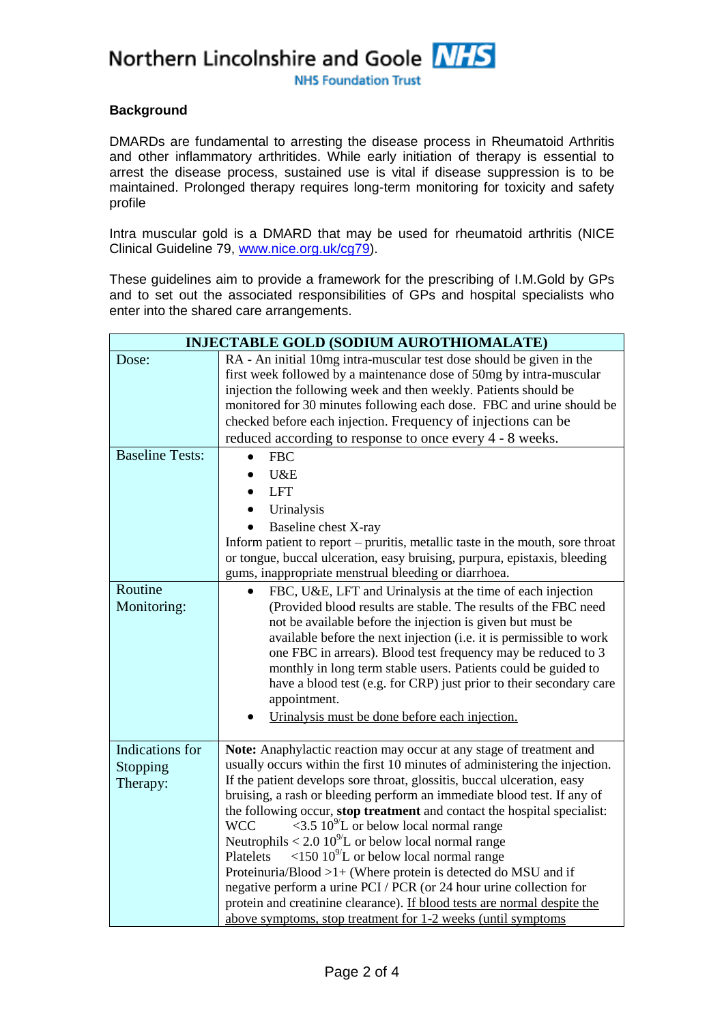Northern Lincolnshire and Goole NHS

**NHS Foundation Trust** 

#### **Background**

DMARDs are fundamental to arresting the disease process in Rheumatoid Arthritis and other inflammatory arthritides. While early initiation of therapy is essential to arrest the disease process, sustained use is vital if disease suppression is to be maintained. Prolonged therapy requires long-term monitoring for toxicity and safety profile

Intra muscular gold is a DMARD that may be used for rheumatoid arthritis (NICE Clinical Guideline 79, [www.nice.org.uk/cg79\)](file:///F:/Users/David/AppData/Local/Microsoft/Windows/Temporary%20Internet%20Files/Content.IE5/WKPKHJB9/www.nice.org.uk/cg79).

These guidelines aim to provide a framework for the prescribing of I.M.Gold by GPs and to set out the associated responsibilities of GPs and hospital specialists who enter into the shared care arrangements.

| <b>INJECTABLE GOLD (SODIUM AUROTHIOMALATE)</b> |                                                                                                                                                                                                                                                                                                                                                                                                                                                                                                                                                                                                                                                                                                                                                                                                                                                                       |  |
|------------------------------------------------|-----------------------------------------------------------------------------------------------------------------------------------------------------------------------------------------------------------------------------------------------------------------------------------------------------------------------------------------------------------------------------------------------------------------------------------------------------------------------------------------------------------------------------------------------------------------------------------------------------------------------------------------------------------------------------------------------------------------------------------------------------------------------------------------------------------------------------------------------------------------------|--|
| Dose:                                          | RA - An initial 10mg intra-muscular test dose should be given in the<br>first week followed by a maintenance dose of 50mg by intra-muscular<br>injection the following week and then weekly. Patients should be<br>monitored for 30 minutes following each dose. FBC and urine should be<br>checked before each injection. Frequency of injections can be<br>reduced according to response to once every 4 - 8 weeks.                                                                                                                                                                                                                                                                                                                                                                                                                                                 |  |
| <b>Baseline Tests:</b><br>Routine              | <b>FBC</b><br>U&E<br><b>LFT</b><br>Urinalysis<br>Baseline chest X-ray<br>Inform patient to report – pruritis, metallic taste in the mouth, sore throat<br>or tongue, buccal ulceration, easy bruising, purpura, epistaxis, bleeding<br>gums, inappropriate menstrual bleeding or diarrhoea.                                                                                                                                                                                                                                                                                                                                                                                                                                                                                                                                                                           |  |
| Monitoring:                                    | FBC, U&E, LFT and Urinalysis at the time of each injection<br>$\bullet$<br>(Provided blood results are stable. The results of the FBC need<br>not be available before the injection is given but must be<br>available before the next injection (i.e. it is permissible to work<br>one FBC in arrears). Blood test frequency may be reduced to 3<br>monthly in long term stable users. Patients could be guided to<br>have a blood test (e.g. for CRP) just prior to their secondary care<br>appointment.<br>Urinalysis must be done before each injection.                                                                                                                                                                                                                                                                                                           |  |
| Indications for<br>Stopping<br>Therapy:        | Note: Anaphylactic reaction may occur at any stage of treatment and<br>usually occurs within the first 10 minutes of administering the injection.<br>If the patient develops sore throat, glossitis, buccal ulceration, easy<br>bruising, a rash or bleeding perform an immediate blood test. If any of<br>the following occur, stop treatment and contact the hospital specialist:<br>$\langle 3.5 \, 10^{9}$ L or below local normal range<br><b>WCC</b><br>Neutrophils < $2.0 10^9$ L or below local normal range<br><150 $10^{9}$ L or below local normal range<br>Platelets<br>Proteinuria/Blood >1+ (Where protein is detected do MSU and if<br>negative perform a urine PCI / PCR (or 24 hour urine collection for<br>protein and creatinine clearance). If blood tests are normal despite the<br>above symptoms, stop treatment for 1-2 weeks (until symptoms |  |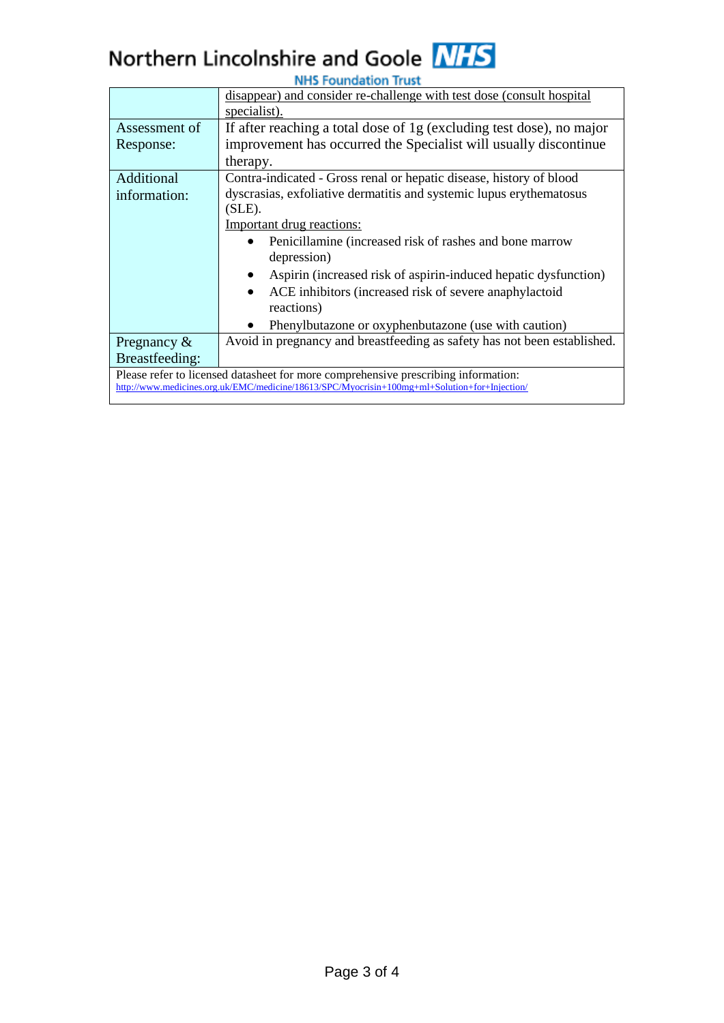# Northern Lincolnshire and Goole NHS **NHS Foundation Trust**

|                                                                                               | disappear) and consider re-challenge with test dose (consult hospital    |  |  |  |
|-----------------------------------------------------------------------------------------------|--------------------------------------------------------------------------|--|--|--|
|                                                                                               | <u>specialist).</u>                                                      |  |  |  |
| Assessment of                                                                                 | If after reaching a total dose of 1g (excluding test dose), no major     |  |  |  |
| Response:                                                                                     | improvement has occurred the Specialist will usually discontinue         |  |  |  |
|                                                                                               | therapy.                                                                 |  |  |  |
| Additional                                                                                    | Contra-indicated - Gross renal or hepatic disease, history of blood      |  |  |  |
| information:                                                                                  | dyscrasias, exfoliative dermatitis and systemic lupus erythematosus      |  |  |  |
|                                                                                               | (SLE).                                                                   |  |  |  |
|                                                                                               | Important drug reactions:                                                |  |  |  |
|                                                                                               | Penicillamine (increased risk of rashes and bone marrow                  |  |  |  |
|                                                                                               | depression)                                                              |  |  |  |
|                                                                                               | Aspirin (increased risk of aspirin-induced hepatic dysfunction)          |  |  |  |
|                                                                                               | ACE inhibitors (increased risk of severe anaphylactoid                   |  |  |  |
|                                                                                               | reactions)                                                               |  |  |  |
|                                                                                               | Phenylbutazone or oxyphenbutazone (use with caution)                     |  |  |  |
| Pregnancy $\&$                                                                                | Avoid in pregnancy and breastfeeding as safety has not been established. |  |  |  |
| Breastfeeding:                                                                                |                                                                          |  |  |  |
| Please refer to licensed datasheet for more comprehensive prescribing information:            |                                                                          |  |  |  |
| http://www.medicines.org.uk/EMC/medicine/18613/SPC/Myocrisin+100mg+ml+Solution+for+Injection/ |                                                                          |  |  |  |
|                                                                                               |                                                                          |  |  |  |